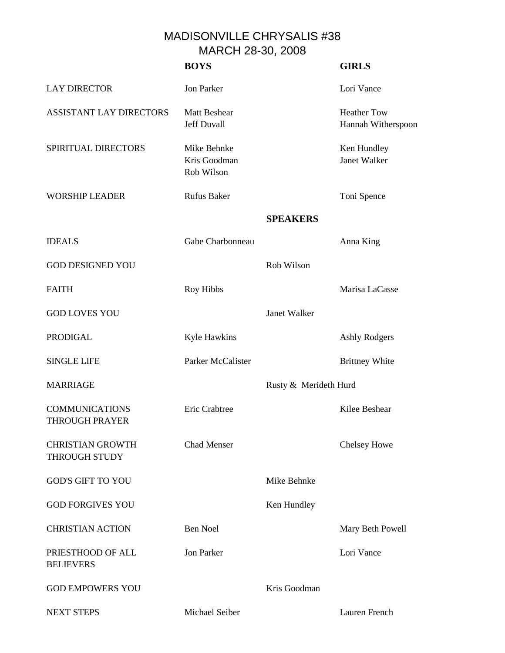## MADISONVILLE CHRYSALIS #38 MARCH 28-30, 2008

|                                                 | <b>BOYS</b>                               |                       | <b>GIRLS</b>                             |
|-------------------------------------------------|-------------------------------------------|-----------------------|------------------------------------------|
| <b>LAY DIRECTOR</b>                             | <b>Jon Parker</b>                         |                       | Lori Vance                               |
| <b>ASSISTANT LAY DIRECTORS</b>                  | <b>Matt Beshear</b><br><b>Jeff Duvall</b> |                       | <b>Heather Tow</b><br>Hannah Witherspoon |
| SPIRITUAL DIRECTORS                             | Mike Behnke<br>Kris Goodman<br>Rob Wilson |                       | Ken Hundley<br>Janet Walker              |
| <b>WORSHIP LEADER</b>                           | <b>Rufus Baker</b>                        |                       | Toni Spence                              |
|                                                 |                                           | <b>SPEAKERS</b>       |                                          |
| <b>IDEALS</b>                                   | Gabe Charbonneau                          |                       | Anna King                                |
| <b>GOD DESIGNED YOU</b>                         |                                           | Rob Wilson            |                                          |
| <b>FAITH</b>                                    | Roy Hibbs                                 |                       | Marisa LaCasse                           |
| <b>GOD LOVES YOU</b>                            |                                           | Janet Walker          |                                          |
| <b>PRODIGAL</b>                                 | Kyle Hawkins                              |                       | <b>Ashly Rodgers</b>                     |
| <b>SINGLE LIFE</b>                              | Parker McCalister                         |                       | <b>Brittney White</b>                    |
| <b>MARRIAGE</b>                                 |                                           | Rusty & Merideth Hurd |                                          |
| <b>COMMUNICATIONS</b><br><b>THROUGH PRAYER</b>  | Eric Crabtree                             |                       | Kilee Beshear                            |
| <b>CHRISTIAN GROWTH</b><br><b>THROUGH STUDY</b> | <b>Chad Menser</b>                        |                       | Chelsey Howe                             |
| <b>GOD'S GIFT TO YOU</b>                        |                                           | Mike Behnke           |                                          |
| <b>GOD FORGIVES YOU</b>                         |                                           | Ken Hundley           |                                          |
| <b>CHRISTIAN ACTION</b>                         | <b>Ben Noel</b>                           |                       | Mary Beth Powell                         |
| PRIESTHOOD OF ALL<br><b>BELIEVERS</b>           | <b>Jon Parker</b>                         |                       | Lori Vance                               |
| <b>GOD EMPOWERS YOU</b>                         |                                           | Kris Goodman          |                                          |
| <b>NEXT STEPS</b>                               | Michael Seiber                            |                       | Lauren French                            |